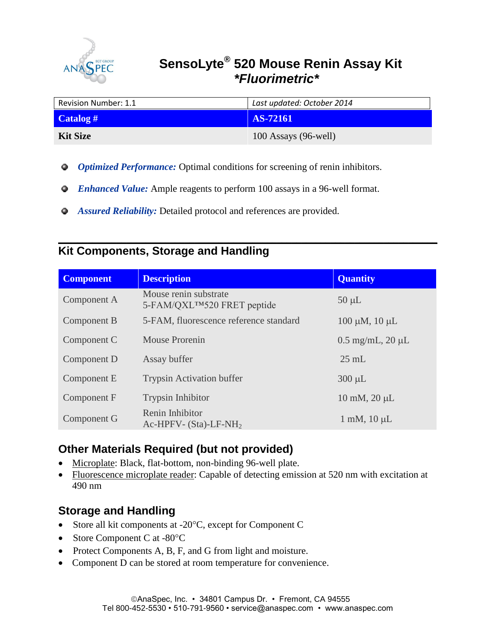

# **SensoLyte<sup>®</sup> 520 Mouse Renin Assay Kit PEC**  *\*Fluorimetric\**

| Revision Number: 1.1 | Last updated: October 2014 |  |
|----------------------|----------------------------|--|
| $\text{Catalog}$ #   | AS-72161                   |  |
| <b>Kit Size</b>      | $100$ Assays (96-well)     |  |

- *Optimized Performance:* Optimal conditions for screening of renin inhibitors.
- *Enhanced Value:* Ample reagents to perform 100 assays in a 96-well format.
- *Assured Reliability:* Detailed protocol and references are provided.

### **\_\_\_\_\_\_\_\_\_\_\_\_\_\_\_\_\_\_\_\_\_\_\_\_\_\_\_\_\_\_\_\_\_\_\_\_\_\_\_\_\_\_\_\_\_\_\_\_\_\_\_\_\_\_\_\_\_\_\_\_\_\_\_\_\_\_\_\_\_\_\_\_\_\_\_\_\_\_ Kit Components, Storage and Handling**

| <b>Component</b> | <b>Description</b>                                                | <b>Quantity</b>              |
|------------------|-------------------------------------------------------------------|------------------------------|
| Component A      | Mouse renin substrate<br>5-FAM/QXL <sup>TM</sup> 520 FRET peptide | $50 \mu L$                   |
| Component B      | 5-FAM, fluorescence reference standard                            | $100 \mu M$ , $10 \mu L$     |
| Component C      | <b>Mouse Prorenin</b>                                             | $0.5$ mg/mL, $20 \mu L$      |
| Component D      | Assay buffer                                                      | $25 \text{ mL}$              |
| Component E      | <b>Trypsin Activation buffer</b>                                  | $300 \mu L$                  |
| Component F      | <b>Trypsin Inhibitor</b>                                          | $10 \text{ mM}$ , $20 \mu L$ |
| Component G      | Renin Inhibitor<br>Ac-HPFV- $(Sta)$ -LF-NH <sub>2</sub>           | $1 \text{ mM}$ , $10 \mu L$  |

## **Other Materials Required (but not provided)**

- Microplate: Black, flat-bottom, non-binding 96-well plate.
- Fluorescence microplate reader: Capable of detecting emission at 520 nm with excitation at 490 nm

## **Storage and Handling**

- Store all kit components at  $-20^{\circ}$ C, except for Component C
- Store Component C at -80°C
- Protect Components A, B, F, and G from light and moisture.
- Component D can be stored at room temperature for convenience.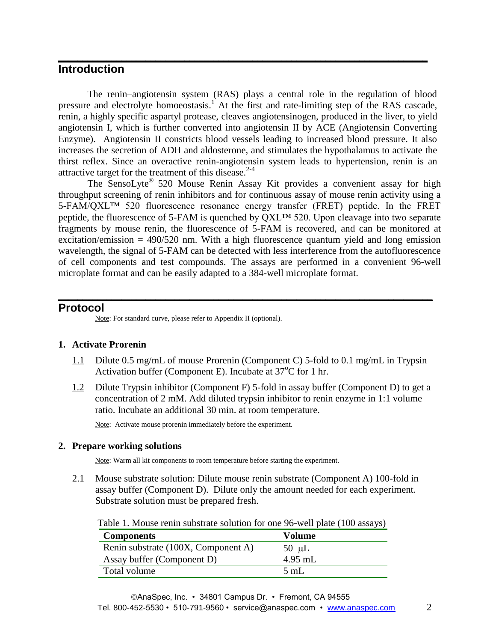## **Introduction**

The renin–angiotensin system (RAS) plays a central role in the regulation of blood pressure and electrolyte homoeostasis.<sup>1</sup> At the first and rate-limiting step of the RAS cascade, renin, a highly specific aspartyl protease, cleaves angiotensinogen, produced in the liver, to yield angiotensin I, which is further converted into angiotensin II by ACE (Angiotensin Converting Enzyme). Angiotensin II constricts blood vessels leading to increased blood pressure. It also increases the secretion of ADH and aldosterone, and stimulates the hypothalamus to activate the thirst reflex. Since an overactive renin-angiotensin system leads to hypertension, renin is an attractive target for the treatment of this disease. $2-4$ 

**\_\_\_\_\_\_\_\_\_\_\_\_\_\_\_\_\_\_\_\_\_\_\_\_\_\_\_\_\_\_\_\_\_\_\_\_\_\_\_\_\_\_\_\_\_\_\_\_\_\_\_\_\_\_\_\_\_\_\_\_\_\_\_\_\_\_\_\_\_\_\_\_\_\_\_\_**

The SensoLyte® 520 Mouse Renin Assay Kit provides a convenient assay for high throughput screening of renin inhibitors and for continuous assay of mouse renin activity using a 5-FAM/QXL™ 520 fluorescence resonance energy transfer (FRET) peptide. In the FRET peptide, the fluorescence of 5-FAM is quenched by QXL™ 520. Upon cleavage into two separate fragments by mouse renin, the fluorescence of 5-FAM is recovered, and can be monitored at excitation/emission  $= 490/520$  nm. With a high fluorescence quantum yield and long emission wavelength, the signal of 5-FAM can be detected with less interference from the autofluorescence of cell components and test compounds. The assays are performed in a convenient 96-well microplate format and can be easily adapted to a 384-well microplate format.

**\_\_\_\_\_\_\_\_\_\_\_\_\_\_\_\_\_\_\_\_\_\_\_\_\_\_\_\_\_\_\_\_\_\_\_\_\_\_\_\_\_\_\_\_\_\_\_\_\_\_\_\_\_\_\_\_\_\_\_\_\_\_\_\_\_\_\_\_\_\_\_\_\_\_\_\_\_**

#### **Protocol**

Note: For standard curve, please refer to Appendix II (optional).

#### **1. Activate Prorenin**

- 1.1 Dilute 0.5 mg/mL of mouse Prorenin (Component C) 5-fold to 0.1 mg/mL in Trypsin Activation buffer (Component E). Incubate at  $37^{\circ}$ C for 1 hr.
- 1.2 Dilute Trypsin inhibitor (Component F) 5-fold in assay buffer (Component D) to get a concentration of 2 mM. Add diluted trypsin inhibitor to renin enzyme in 1:1 volume ratio. Incubate an additional 30 min. at room temperature.

Note: Activate mouse prorenin immediately before the experiment.

#### **2. Prepare working solutions**

Note: Warm all kit components to room temperature before starting the experiment.

2.1 Mouse substrate solution: Dilute mouse renin substrate (Component A) 100-fold in assay buffer (Component D). Dilute only the amount needed for each experiment. Substrate solution must be prepared fresh.

Table 1. Mouse renin substrate solution for one 96-well plate (100 assays)

| <b>Components</b>                   | Volume         |
|-------------------------------------|----------------|
| Renin substrate (100X, Component A) | $50 \mu L$     |
| Assay buffer (Component D)          | $4.95$ mL      |
| Total volume                        | $5 \text{ mL}$ |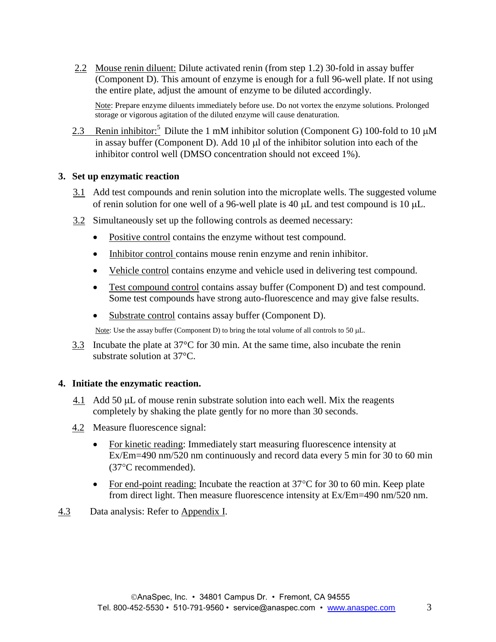2.2 Mouse renin diluent: Dilute activated renin (from step 1.2) 30-fold in assay buffer (Component D). This amount of enzyme is enough for a full 96-well plate. If not using the entire plate, adjust the amount of enzyme to be diluted accordingly.

Note: Prepare enzyme diluents immediately before use. Do not vortex the enzyme solutions. Prolonged storage or vigorous agitation of the diluted enzyme will cause denaturation.

2.3 Renin inhibitor:<sup>5</sup> Dilute the 1 mM inhibitor solution (Component G) 100-fold to 10  $\mu$ M in assay buffer (Component D). Add  $10 \mu$  of the inhibitor solution into each of the inhibitor control well (DMSO concentration should not exceed 1%).

#### **3. Set up enzymatic reaction**

- 3.1 Add test compounds and renin solution into the microplate wells. The suggested volume of renin solution for one well of a 96-well plate is 40  $\mu$ L and test compound is 10  $\mu$ L.
- 3.2 Simultaneously set up the following controls as deemed necessary:
	- Positive control contains the enzyme without test compound.
	- Inhibitor control contains mouse renin enzyme and renin inhibitor.
	- Vehicle control contains enzyme and vehicle used in delivering test compound.
	- Test compound control contains assay buffer (Component D) and test compound. Some test compounds have strong auto-fluorescence and may give false results.
	- Substrate control contains assay buffer (Component D).

Note: Use the assay buffer (Component D) to bring the total volume of all controls to 50  $\mu$ L.

3.3 Incubate the plate at 37°C for 30 min. At the same time, also incubate the renin substrate solution at 37°C.

#### **4. Initiate the enzymatic reaction.**

- $\frac{4.1}{ }$  Add 50 µL of mouse renin substrate solution into each well. Mix the reagents completely by shaking the plate gently for no more than 30 seconds.
- 4.2 Measure fluorescence signal:
	- For kinetic reading: Immediately start measuring fluorescence intensity at Ex/Em=490 nm/520 nm continuously and record data every 5 min for 30 to 60 min (37C recommended).
	- For end-point reading: Incubate the reaction at  $37^{\circ}$ C for 30 to 60 min. Keep plate from direct light. Then measure fluorescence intensity at Ex/Em=490 nm/520 nm.
- 4.3 Data analysis: Refer to Appendix I.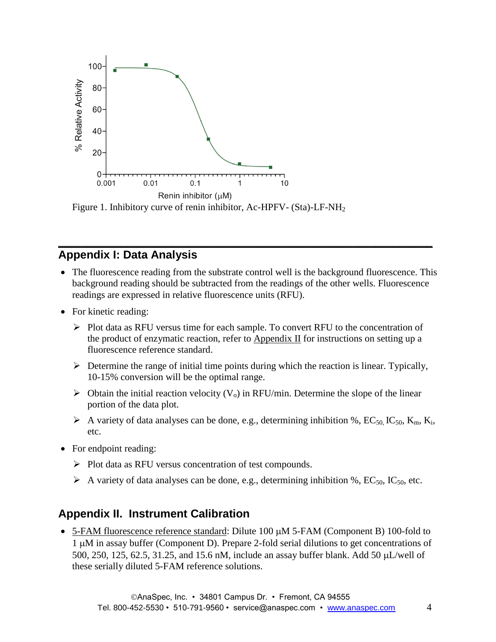

Figure 1. Inhibitory curve of renin inhibitor, Ac-HPFV- (Sta)-LF-NH<sub>2</sub>

### **\_\_\_\_\_\_\_\_\_\_\_\_\_\_\_\_\_\_\_\_\_\_\_\_\_\_\_\_\_\_\_\_\_\_\_\_\_\_\_\_\_\_\_\_\_\_\_\_\_\_\_\_\_\_\_\_\_\_\_\_\_\_\_\_\_\_ Appendix I: Data Analysis**

- The fluorescence reading from the substrate control well is the background fluorescence. This background reading should be subtracted from the readings of the other wells. Fluorescence readings are expressed in relative fluorescence units (RFU).
- For kinetic reading:
	- $\triangleright$  Plot data as RFU versus time for each sample. To convert RFU to the concentration of the product of enzymatic reaction, refer to Appendix II for instructions on setting up a fluorescence reference standard.
	- $\triangleright$  Determine the range of initial time points during which the reaction is linear. Typically, 10-15% conversion will be the optimal range.
	- $\triangleright$  Obtain the initial reaction velocity (V<sub>o</sub>) in RFU/min. Determine the slope of the linear portion of the data plot.
	- A variety of data analyses can be done, e.g., determining inhibition %,  $EC_{50}$ ,  $IC_{50}$ ,  $K_m$ ,  $K_i$ , etc.
- For endpoint reading:
	- $\triangleright$  Plot data as RFU versus concentration of test compounds.
	- $\triangleright$  A variety of data analyses can be done, e.g., determining inhibition %, EC<sub>50</sub>, IC<sub>50</sub>, etc.

## **Appendix II. Instrument Calibration**

 $\bullet$  5-FAM fluorescence reference standard: Dilute 100  $\mu$ M 5-FAM (Component B) 100-fold to 1 M in assay buffer (Component D). Prepare 2-fold serial dilutions to get concentrations of 500, 250, 125, 62.5, 31.25, and 15.6 nM, include an assay buffer blank. Add 50  $\mu$ L/well of these serially diluted 5-FAM reference solutions.